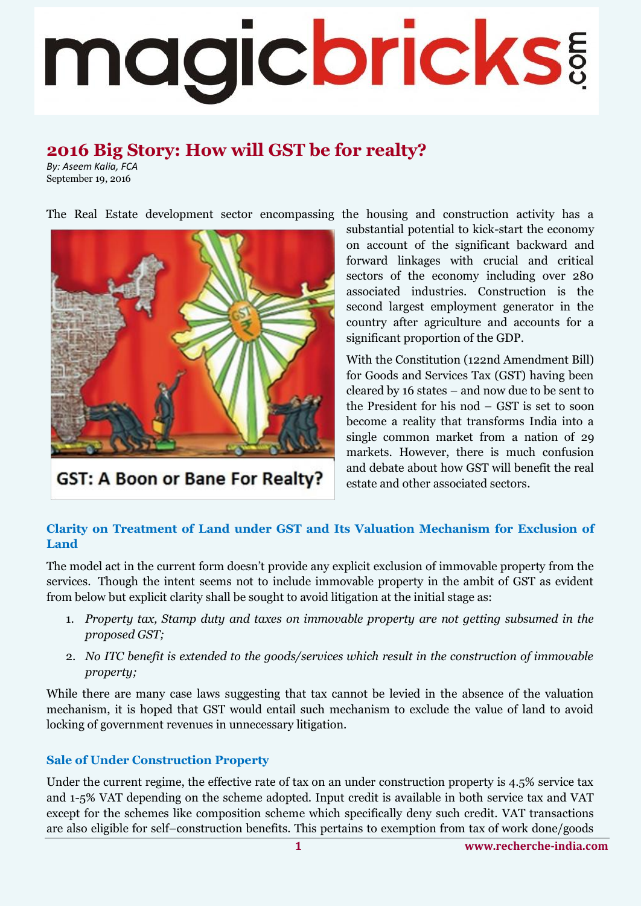# magicbricks

### **2016 Big Story: How will GST be for realty?**

*By: Aseem Kalia, FCA* September 19, 2016

The Real Estate development sector encompassing the housing and construction activity has a



**GST: A Boon or Bane For Realty?** 

substantial potential to kick-start the economy on account of the significant backward and forward linkages with crucial and critical sectors of the economy including over 280 associated industries. Construction is the second largest employment generator in the country after agriculture and accounts for a significant proportion of the GDP.

With the Constitution (122nd Amendment Bill) for Goods and Services Tax (GST) having been cleared by 16 states – and now due to be sent to the President for his nod – GST is set to soon become a reality that transforms India into a single common market from a nation of 29 markets. However, there is much confusion and debate about how GST will benefit the real estate and other associated sectors.

#### **Clarity on Treatment of Land under GST and Its Valuation Mechanism for Exclusion of Land**

The model act in the current form doesn't provide any explicit exclusion of immovable property from the services. Though the intent seems not to include immovable property in the ambit of GST as evident from below but explicit clarity shall be sought to avoid litigation at the initial stage as:

- 1. *Property tax, Stamp duty and taxes on immovable property are not getting subsumed in the proposed GST;*
- 2. *No ITC benefit is extended to the goods/services which result in the construction of immovable property;*

While there are many case laws suggesting that tax cannot be levied in the absence of the valuation mechanism, it is hoped that GST would entail such mechanism to exclude the value of land to avoid locking of government revenues in unnecessary litigation.

#### **Sale of Under Construction Property**

Under the current regime, the effective rate of tax on an under construction property is 4.5% service tax and 1-5% VAT depending on the scheme adopted. Input credit is available in both service tax and VAT except for the schemes like composition scheme which specifically deny such credit. VAT transactions are also eligible for self–construction benefits. This pertains to exemption from tax of work done/goods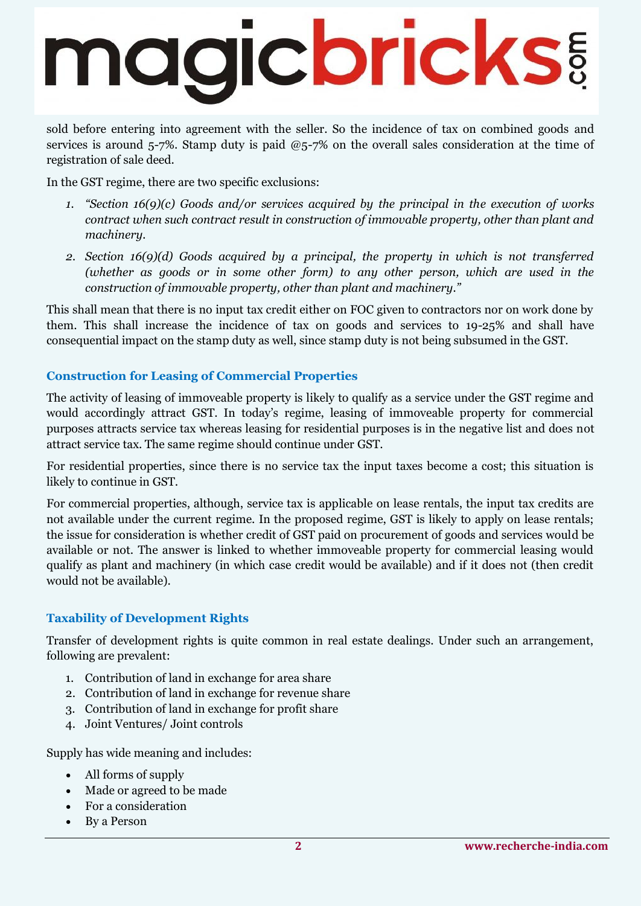## magicbricks?

sold before entering into agreement with the seller. So the incidence of tax on combined goods and services is around 5-7%. Stamp duty is paid @5-7% on the overall sales consideration at the time of registration of sale deed.

In the GST regime, there are two specific exclusions:

- *1. "Section 16(9)(c) Goods and/or services acquired by the principal in the execution of works contract when such contract result in construction of immovable property, other than plant and machinery.*
- *2. Section 16(9)(d) Goods acquired by a principal, the property in which is not transferred (whether as goods or in some other form) to any other person, which are used in the construction of immovable property, other than plant and machinery."*

This shall mean that there is no input tax credit either on FOC given to contractors nor on work done by them. This shall increase the incidence of tax on goods and services to 19-25% and shall have consequential impact on the stamp duty as well, since stamp duty is not being subsumed in the GST.

#### **Construction for Leasing of Commercial Properties**

The activity of leasing of immoveable property is likely to qualify as a service under the GST regime and would accordingly attract GST. In today's regime, leasing of immoveable property for commercial purposes attracts service tax whereas leasing for residential purposes is in the negative list and does not attract service tax. The same regime should continue under GST.

For residential properties, since there is no service tax the input taxes become a cost; this situation is likely to continue in GST.

For commercial properties, although, service tax is applicable on lease rentals, the input tax credits are not available under the current regime. In the proposed regime, GST is likely to apply on lease rentals; the issue for consideration is whether credit of GST paid on procurement of goods and services would be available or not. The answer is linked to whether immoveable property for commercial leasing would qualify as plant and machinery (in which case credit would be available) and if it does not (then credit would not be available).

#### **Taxability of Development Rights**

Transfer of development rights is quite common in real estate dealings. Under such an arrangement, following are prevalent:

- 1. Contribution of land in exchange for area share
- 2. Contribution of land in exchange for revenue share
- 3. Contribution of land in exchange for profit share
- 4. Joint Ventures/ Joint controls

Supply has wide meaning and includes:

- All forms of supply
- Made or agreed to be made
- For a consideration
- By a Person